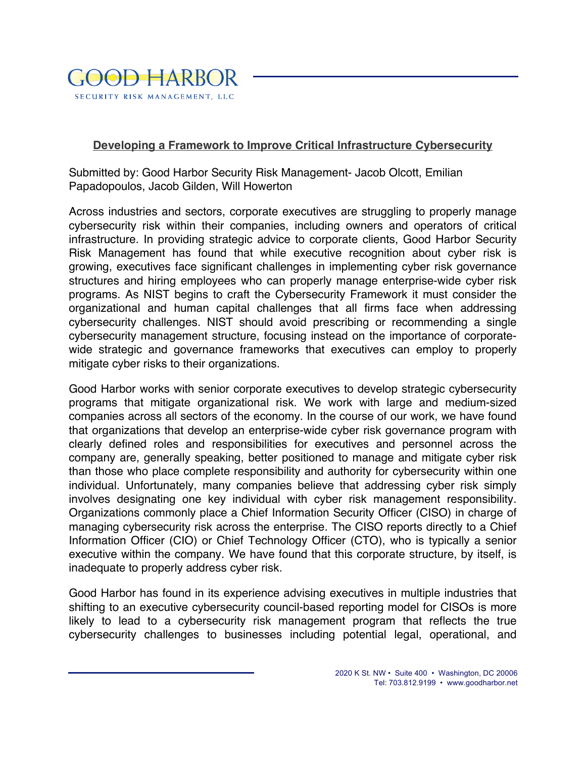

## **Developing a Framework to Improve Critical Infrastructure Cybersecurity**

 Submitted by: Good Harbor Security Risk Management- Jacob Olcott, Emilian Papadopoulos, Jacob Gilden, Will Howerton

 Across industries and sectors, corporate executives are struggling to properly manage cybersecurity risk within their companies, including owners and operators of critical infrastructure. In providing strategic advice to corporate clients, Good Harbor Security Risk Management has found that while executive recognition about cyber risk is growing, executives face significant challenges in implementing cyber risk governance structures and hiring employees who can properly manage enterprise-wide cyber risk programs. As NIST begins to craft the Cybersecurity Framework it must consider the organizational and human capital challenges that all firms face when addressing cybersecurity challenges. NIST should avoid prescribing or recommending a single cybersecurity management structure, focusing instead on the importance of corporate- wide strategic and governance frameworks that executives can employ to properly mitigate cyber risks to their organizations.

 Good Harbor works with senior corporate executives to develop strategic cybersecurity programs that mitigate organizational risk. We work with large and medium-sized companies across all sectors of the economy. In the course of our work, we have found that organizations that develop an enterprise-wide cyber risk governance program with clearly defined roles and responsibilities for executives and personnel across the company are, generally speaking, better positioned to manage and mitigate cyber risk than those who place complete responsibility and authority for cybersecurity within one individual. Unfortunately, many companies believe that addressing cyber risk simply involves designating one key individual with cyber risk management responsibility. Organizations commonly place a Chief Information Security Officer (CISO) in charge of managing cybersecurity risk across the enterprise. The CISO reports directly to a Chief Information Officer (CIO) or Chief Technology Officer (CTO), who is typically a senior executive within the company. We have found that this corporate structure, by itself, is inadequate to properly address cyber risk.

 Good Harbor has found in its experience advising executives in multiple industries that shifting to an executive cybersecurity council-based reporting model for CISOs is more likely to lead to a cybersecurity risk management program that reflects the true cybersecurity challenges to businesses including potential legal, operational, and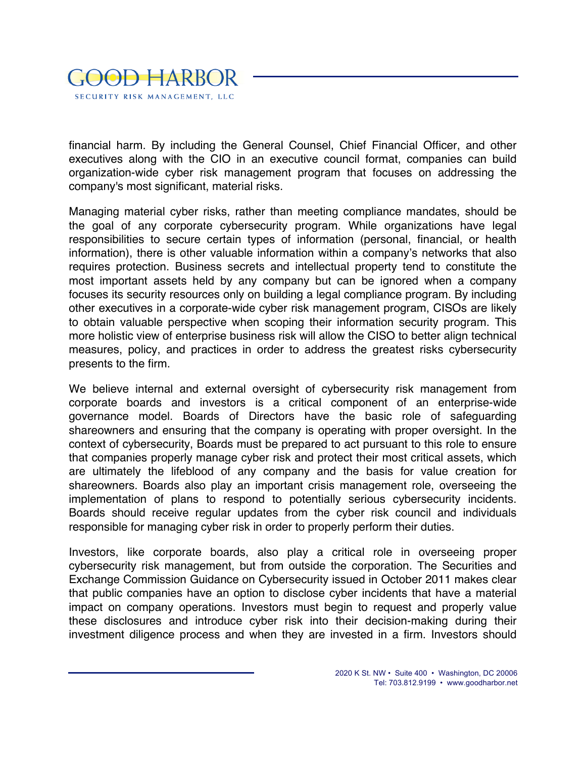

 financial harm. By including the General Counsel, Chief Financial Officer, and other executives along with the CIO in an executive council format, companies can build organization-wide cyber risk management program that focuses on addressing the company's most significant, material risks.

 Managing material cyber risks, rather than meeting compliance mandates, should be the goal of any corporate cybersecurity program. While organizations have legal responsibilities to secure certain types of information (personal, financial, or health information), there is other valuable information within a company's networks that also requires protection. Business secrets and intellectual property tend to constitute the most important assets held by any company but can be ignored when a company focuses its security resources only on building a legal compliance program. By including other executives in a corporate-wide cyber risk management program, CISOs are likely to obtain valuable perspective when scoping their information security program. This more holistic view of enterprise business risk will allow the CISO to better align technical measures, policy, and practices in order to address the greatest risks cybersecurity presents to the firm.

 We believe internal and external oversight of cybersecurity risk management from corporate boards and investors is a critical component of an enterprise-wide governance model. Boards of Directors have the basic role of safeguarding shareowners and ensuring that the company is operating with proper oversight. In the context of cybersecurity, Boards must be prepared to act pursuant to this role to ensure that companies properly manage cyber risk and protect their most critical assets, which are ultimately the lifeblood of any company and the basis for value creation for shareowners. Boards also play an important crisis management role, overseeing the implementation of plans to respond to potentially serious cybersecurity incidents. Boards should receive regular updates from the cyber risk council and individuals responsible for managing cyber risk in order to properly perform their duties.

 Investors, like corporate boards, also play a critical role in overseeing proper cybersecurity risk management, but from outside the corporation. The Securities and Exchange Commission Guidance on Cybersecurity issued in October 2011 makes clear that public companies have an option to disclose cyber incidents that have a material impact on company operations. Investors must begin to request and properly value these disclosures and introduce cyber risk into their decision-making during their investment diligence process and when they are invested in a firm. Investors should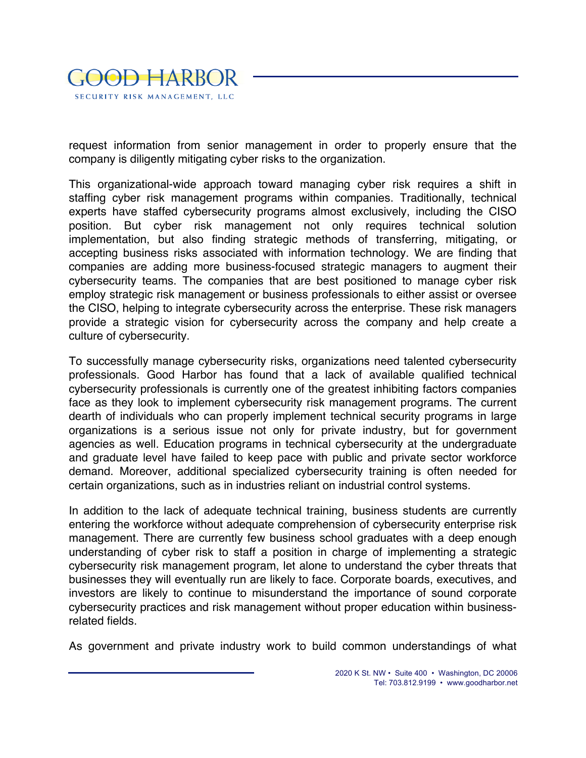

 request information from senior management in order to properly ensure that the company is diligently mitigating cyber risks to the organization.

 This organizational-wide approach toward managing cyber risk requires a shift in staffing cyber risk management programs within companies. Traditionally, technical experts have staffed cybersecurity programs almost exclusively, including the CISO position. But cyber risk management not only requires technical solution implementation, but also finding strategic methods of transferring, mitigating, or accepting business risks associated with information technology. We are finding that companies are adding more business-focused strategic managers to augment their cybersecurity teams. The companies that are best positioned to manage cyber risk employ strategic risk management or business professionals to either assist or oversee the CISO, helping to integrate cybersecurity across the enterprise. These risk managers provide a strategic vision for cybersecurity across the company and help create a culture of cybersecurity.

 To successfully manage cybersecurity risks, organizations need talented cybersecurity professionals. Good Harbor has found that a lack of available qualified technical cybersecurity professionals is currently one of the greatest inhibiting factors companies face as they look to implement cybersecurity risk management programs. The current dearth of individuals who can properly implement technical security programs in large organizations is a serious issue not only for private industry, but for government agencies as well. Education programs in technical cybersecurity at the undergraduate and graduate level have failed to keep pace with public and private sector workforce demand. Moreover, additional specialized cybersecurity training is often needed for certain organizations, such as in industries reliant on industrial control systems.

 In addition to the lack of adequate technical training, business students are currently entering the workforce without adequate comprehension of cybersecurity enterprise risk management. There are currently few business school graduates with a deep enough understanding of cyber risk to staff a position in charge of implementing a strategic cybersecurity risk management program, let alone to understand the cyber threats that businesses they will eventually run are likely to face. Corporate boards, executives, and investors are likely to continue to misunderstand the importance of sound corporate cybersecurity practices and risk management without proper education within business-related fields.

As government and private industry work to build common understandings of what